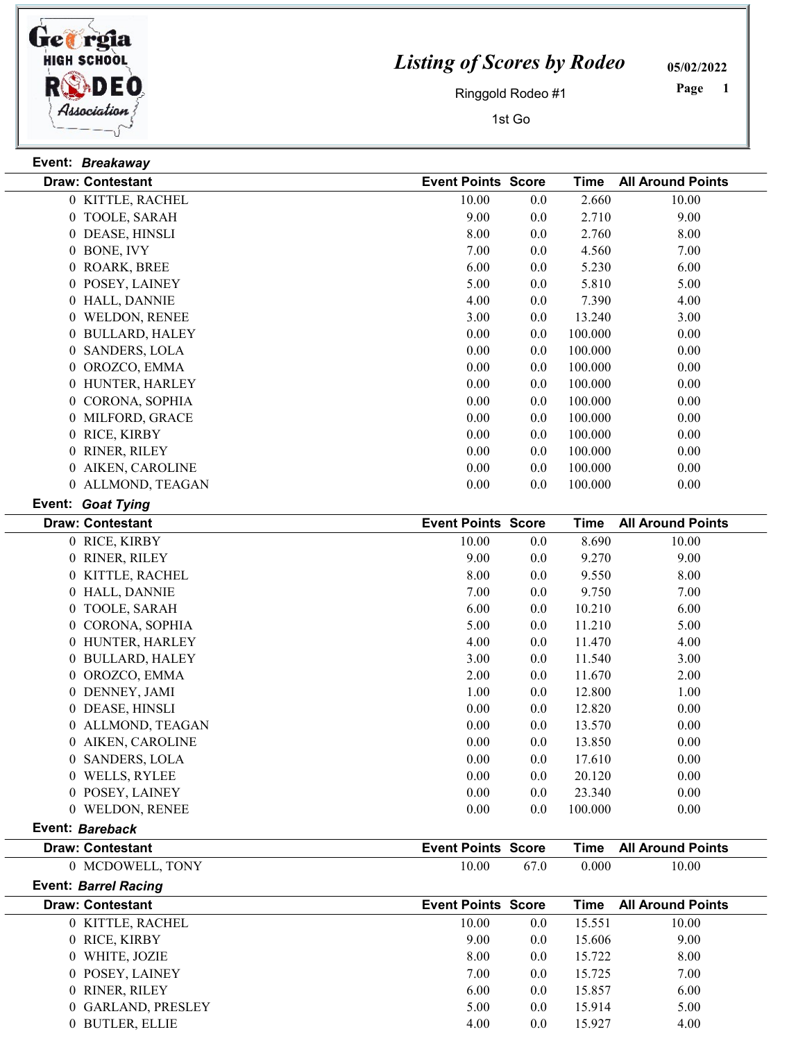

## Listing of Scores by Rodeo

05/02/2022

Ringgold Rodeo #1

1st Go

1 Page

| Event: Breakaway            |                           |         |             |                          |
|-----------------------------|---------------------------|---------|-------------|--------------------------|
| <b>Draw: Contestant</b>     | <b>Event Points Score</b> |         | <b>Time</b> | <b>All Around Points</b> |
| 0 KITTLE, RACHEL            | 10.00                     | 0.0     | 2.660       | 10.00                    |
| 0 TOOLE, SARAH              | 9.00                      | 0.0     | 2.710       | 9.00                     |
| 0 DEASE, HINSLI             | 8.00                      | 0.0     | 2.760       | 8.00                     |
| 0 BONE, IVY                 | 7.00                      | 0.0     | 4.560       | 7.00                     |
| 0 ROARK, BREE               | 6.00                      | 0.0     | 5.230       | 6.00                     |
| 0 POSEY, LAINEY             | 5.00                      | 0.0     | 5.810       | 5.00                     |
| 0 HALL, DANNIE              | 4.00                      | 0.0     | 7.390       | 4.00                     |
| 0 WELDON, RENEE             | 3.00                      | $0.0\,$ | 13.240      | 3.00                     |
| 0 BULLARD, HALEY            | 0.00                      | 0.0     | 100.000     | 0.00                     |
| 0 SANDERS, LOLA             | 0.00                      | 0.0     | 100.000     | 0.00                     |
| 0 OROZCO, EMMA              | 0.00                      | $0.0\,$ | 100.000     | 0.00                     |
| 0 HUNTER, HARLEY            | 0.00                      | $0.0\,$ | 100.000     | 0.00                     |
| 0 CORONA, SOPHIA            | 0.00                      | 0.0     | 100.000     | 0.00                     |
| 0 MILFORD, GRACE            | 0.00                      | $0.0\,$ | 100.000     | 0.00                     |
| 0 RICE, KIRBY               | 0.00                      | 0.0     | 100.000     | 0.00                     |
| 0 RINER, RILEY              | 0.00                      | $0.0\,$ | 100.000     | 0.00                     |
| 0 AIKEN, CAROLINE           | 0.00                      | 0.0     | 100.000     | 0.00                     |
| 0 ALLMOND, TEAGAN           | 0.00                      | $0.0\,$ | 100.000     | 0.00                     |
| Event: Goat Tying           |                           |         |             |                          |
| <b>Draw: Contestant</b>     | <b>Event Points Score</b> |         | <b>Time</b> | <b>All Around Points</b> |
| 0 RICE, KIRBY               | 10.00                     | $0.0\,$ | 8.690       | 10.00                    |
| 0 RINER, RILEY              | 9.00                      | 0.0     | 9.270       | 9.00                     |
| 0 KITTLE, RACHEL            | 8.00                      | 0.0     | 9.550       | 8.00                     |
| 0 HALL, DANNIE              | 7.00                      | 0.0     | 9.750       | 7.00                     |
| 0 TOOLE, SARAH              | 6.00                      | $0.0\,$ | 10.210      | 6.00                     |
| 0 CORONA, SOPHIA            | 5.00                      | $0.0\,$ | 11.210      | 5.00                     |
| 0 HUNTER, HARLEY            | 4.00                      | $0.0\,$ | 11.470      | 4.00                     |
| 0 BULLARD, HALEY            | 3.00                      | $0.0\,$ | 11.540      | 3.00                     |
| 0 OROZCO, EMMA              | 2.00                      | $0.0\,$ | 11.670      | 2.00                     |
| 0 DENNEY, JAMI              | 1.00                      | $0.0\,$ | 12.800      | 1.00                     |
| 0 DEASE, HINSLI             | 0.00                      | $0.0\,$ | 12.820      | 0.00                     |
| 0 ALLMOND, TEAGAN           | 0.00                      | 0.0     | 13.570      | 0.00                     |
| 0 AIKEN, CAROLINE           | 0.00                      | 0.0     | 13.850      | $0.00\,$                 |
| 0 SANDERS, LOLA             | 0.00                      | 0.0     | 17.610      | 0.00                     |
| 0 WELLS, RYLEE              | 0.00                      | 0.0     | 20.120      | 0.00                     |
| 0 POSEY, LAINEY             | 0.00                      | 0.0     | 23.340      | 0.00                     |
| 0 WELDON, RENEE             | 0.00                      | 0.0     | 100.000     | 0.00                     |
| Event: Bareback             |                           |         |             |                          |
| <b>Draw: Contestant</b>     | <b>Event Points Score</b> |         | <b>Time</b> | <b>All Around Points</b> |
| 0 MCDOWELL, TONY            | 10.00                     | 67.0    | 0.000       | 10.00                    |
| <b>Event: Barrel Racing</b> |                           |         |             |                          |
| <b>Draw: Contestant</b>     | <b>Event Points Score</b> |         | <b>Time</b> | <b>All Around Points</b> |
| 0 KITTLE, RACHEL            | 10.00                     | 0.0     | 15.551      | 10.00                    |
|                             |                           |         |             |                          |

| PIAW. VUIKGSKAIK   | LVGIILI VIIILS OCOIG |     | .      | AILAIVUIN LUIIN |
|--------------------|----------------------|-----|--------|-----------------|
| 0 KITTLE, RACHEL   | 10.00                | 0.0 | 15.551 | 10.00           |
| 0 RICE, KIRBY      | 9.00                 | 0.0 | 15.606 | 9.00            |
| 0 WHITE, JOZIE     | 8.00                 | 0.0 | 15.722 | 8.00            |
| 0 POSEY, LAINEY    | 7.00                 | 0.0 | 15.725 | 7.00            |
| 0 RINER, RILEY     | 6.00                 | 0.0 | 15.857 | 6.00            |
| 0 GARLAND, PRESLEY | 5.00                 | 0.0 | 15.914 | 5.00            |
| 0 BUTLER, ELLIE    | 4.00                 | 0.0 | 15.927 | 4.00            |
|                    |                      |     |        |                 |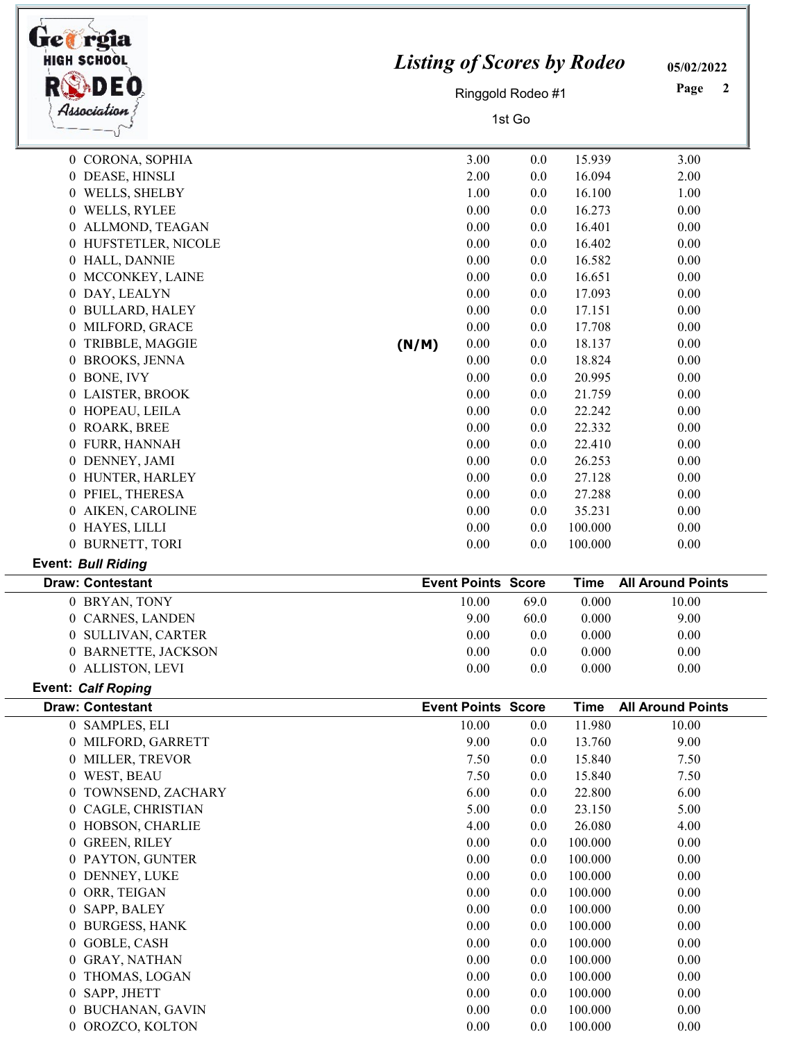| HIGH SCHOOI<br>Association            | <b>Listing of Scores by Rodeo</b> | Ringgold Rodeo #1<br>1st Go | 05/02/2022<br>Page<br>2 |                    |                          |
|---------------------------------------|-----------------------------------|-----------------------------|-------------------------|--------------------|--------------------------|
| 0 CORONA, SOPHIA                      |                                   | 3.00                        | 0.0                     | 15.939             | 3.00                     |
| 0 DEASE, HINSLI                       |                                   | 2.00                        | 0.0                     | 16.094             | 2.00                     |
| 0 WELLS, SHELBY                       |                                   | 1.00                        | 0.0                     | 16.100             | 1.00                     |
| 0 WELLS, RYLEE                        |                                   | 0.00                        | 0.0                     | 16.273             | 0.00                     |
| 0 ALLMOND, TEAGAN                     |                                   | 0.00                        | 0.0                     | 16.401             | 0.00                     |
| 0 HUFSTETLER, NICOLE                  |                                   | 0.00                        | 0.0                     | 16.402             | 0.00                     |
| 0 HALL, DANNIE                        |                                   | 0.00                        | 0.0                     | 16.582             | 0.00                     |
| 0 MCCONKEY, LAINE                     |                                   | 0.00                        | 0.0                     | 16.651             | 0.00                     |
| 0 DAY, LEALYN                         |                                   | 0.00                        | 0.0                     | 17.093             | 0.00                     |
| 0 BULLARD, HALEY                      |                                   | 0.00                        | 0.0                     | 17.151             | 0.00                     |
| 0 MILFORD, GRACE                      |                                   | 0.00                        | 0.0                     | 17.708             | 0.00                     |
| 0 TRIBBLE, MAGGIE                     | (N/M)                             | 0.00                        | 0.0                     | 18.137             | 0.00                     |
| 0 BROOKS, JENNA                       |                                   | 0.00                        | 0.0                     | 18.824             | 0.00                     |
| 0 BONE, IVY                           |                                   | 0.00                        | 0.0                     | 20.995             | 0.00                     |
| 0 LAISTER, BROOK                      |                                   | 0.00                        | 0.0                     | 21.759             | 0.00                     |
| 0 HOPEAU, LEILA                       |                                   | 0.00                        | 0.0                     | 22.242             | 0.00                     |
| 0 ROARK, BREE                         |                                   | 0.00                        | 0.0                     | 22.332             | 0.00                     |
| 0 FURR, HANNAH                        |                                   | 0.00                        | 0.0                     | 22.410             | 0.00                     |
| 0 DENNEY, JAMI                        |                                   | 0.00                        | 0.0                     | 26.253             | 0.00                     |
| 0 HUNTER, HARLEY                      |                                   | 0.00                        | 0.0                     | 27.128             | 0.00                     |
| 0 PFIEL, THERESA                      |                                   | 0.00                        | 0.0                     | 27.288             | 0.00                     |
| 0 AIKEN, CAROLINE                     |                                   | 0.00                        | 0.0                     | 35.231             | 0.00                     |
| 0 HAYES, LILLI                        |                                   | 0.00                        | 0.0                     | 100.000            | 0.00                     |
| 0 BURNETT, TORI                       |                                   | 0.00                        | 0.0                     | 100.000            | 0.00                     |
| <b>Event: Bull Riding</b>             |                                   |                             |                         |                    |                          |
| <b>Draw: Contestant</b>               |                                   | <b>Event Points Score</b>   |                         | <b>Time</b>        | <b>All Around Points</b> |
| 0 BRYAN, TONY                         |                                   | 10.00                       | 69.0                    | 0.000              | 10.00                    |
| 0 CARNES, LANDEN                      |                                   | 9.00                        | 60.0                    | 0.000              | 9.00                     |
| 0 SULLIVAN, CARTER                    |                                   | $0.00\,$                    | 0.0                     | 0.000              | 0.00                     |
| 0 BARNETTE, JACKSON                   |                                   | $0.00\,$                    | 0.0                     | 0.000              | 0.00                     |
| 0 ALLISTON, LEVI                      |                                   | $0.00\,$                    | 0.0                     | 0.000              | 0.00                     |
| <b>Event: Calf Roping</b>             |                                   |                             |                         |                    |                          |
| <b>Draw: Contestant</b>               |                                   | <b>Event Points Score</b>   |                         | <b>Time</b>        | <b>All Around Points</b> |
| 0 SAMPLES, ELI                        |                                   | 10.00                       | 0.0                     | 11.980             | 10.00                    |
| 0 MILFORD, GARRETT                    |                                   | 9.00                        | 0.0                     | 13.760             | 9.00                     |
| 0 MILLER, TREVOR                      |                                   | 7.50                        | 0.0                     | 15.840             | 7.50                     |
| 0 WEST, BEAU                          |                                   | 7.50                        | 0.0                     | 15.840             | 7.50                     |
| 0 TOWNSEND, ZACHARY                   |                                   | 6.00                        | 0.0                     | 22.800             | 6.00                     |
| 0 CAGLE, CHRISTIAN                    |                                   | 5.00                        | 0.0                     | 23.150             | 5.00                     |
| 0 HOBSON, CHARLIE                     |                                   | 4.00                        | 0.0                     | 26.080             | 4.00                     |
| 0 GREEN, RILEY                        |                                   | 0.00                        | 0.0                     | 100.000            | 0.00                     |
| 0 PAYTON, GUNTER                      |                                   | 0.00                        | 0.0                     | 100.000            | 0.00                     |
| 0 DENNEY, LUKE                        |                                   | 0.00                        | 0.0                     | 100.000            | 0.00                     |
| 0 ORR, TEIGAN                         |                                   | 0.00                        | 0.0                     | 100.000            | 0.00                     |
| 0 SAPP, BALEY                         |                                   | $0.00\,$                    | 0.0                     | 100.000            | 0.00                     |
| 0 BURGESS, HANK                       |                                   | 0.00                        | 0.0                     | 100.000            | 0.00                     |
| 0 GOBLE, CASH                         |                                   | 0.00                        | 0.0                     | 100.000            | 0.00                     |
| 0 GRAY, NATHAN                        |                                   | 0.00                        | 0.0                     | 100.000            | 0.00                     |
| 0 THOMAS, LOGAN                       |                                   | 0.00                        | 0.0                     | 100.000            | 0.00                     |
| 0 SAPP, JHETT                         |                                   |                             |                         |                    |                          |
|                                       |                                   | 0.00                        | 0.0                     | 100.000            | 0.00                     |
| 0 BUCHANAN, GAVIN<br>0 OROZCO, KOLTON |                                   | $0.00\,$<br>0.00            | 0.0<br>0.0              | 100.000<br>100.000 | 0.00<br>0.00             |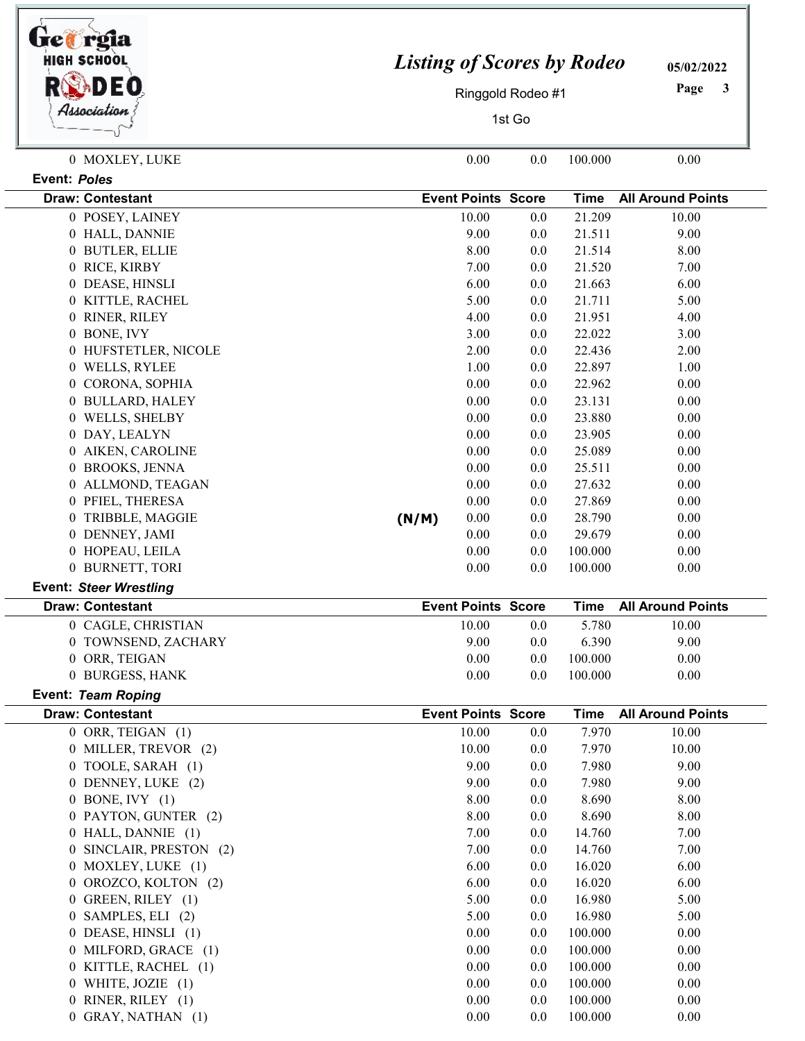| <b>HIGH SCHOOL</b>                                       |                           | <b>Listing of Scores by Rodeo</b><br>Ringgold Rodeo #1 |            |                    |                          |  |
|----------------------------------------------------------|---------------------------|--------------------------------------------------------|------------|--------------------|--------------------------|--|
| Hssociation                                              |                           | 1st Go                                                 |            |                    |                          |  |
| 0 MOXLEY, LUKE                                           |                           | 0.00                                                   | 0.0        | 100.000            | 0.00                     |  |
| <b>Event: Poles</b>                                      |                           |                                                        |            |                    |                          |  |
| <b>Draw: Contestant</b>                                  | <b>Event Points Score</b> |                                                        |            | <b>Time</b>        | <b>All Around Points</b> |  |
| 0 POSEY, LAINEY                                          |                           | 10.00                                                  | 0.0        | 21.209             | 10.00                    |  |
| 0 HALL, DANNIE                                           |                           | 9.00                                                   | 0.0        | 21.511             | 9.00                     |  |
| 0 BUTLER, ELLIE                                          |                           | 8.00                                                   | 0.0        | 21.514             | 8.00                     |  |
| 0 RICE, KIRBY                                            |                           | 7.00                                                   | 0.0        | 21.520             | 7.00                     |  |
| 0 DEASE, HINSLI                                          |                           | 6.00                                                   | 0.0        | 21.663             | 6.00                     |  |
| 0 KITTLE, RACHEL                                         |                           | 5.00                                                   | 0.0        | 21.711             | 5.00                     |  |
| 0 RINER, RILEY                                           |                           | 4.00                                                   | 0.0        | 21.951             | 4.00                     |  |
| 0 BONE, IVY                                              |                           | 3.00                                                   | 0.0        | 22.022             | 3.00                     |  |
| 0 HUFSTETLER, NICOLE                                     |                           | 2.00                                                   | 0.0        | 22.436             | 2.00                     |  |
| 0 WELLS, RYLEE                                           |                           | 1.00                                                   | 0.0        | 22.897             | 1.00                     |  |
| 0 CORONA, SOPHIA                                         |                           | 0.00                                                   | 0.0        | 22.962             | 0.00                     |  |
| 0 BULLARD, HALEY                                         |                           | 0.00                                                   | 0.0        | 23.131             | 0.00                     |  |
| 0 WELLS, SHELBY                                          |                           | 0.00                                                   | 0.0        | 23.880             | 0.00                     |  |
| 0 DAY, LEALYN                                            |                           | 0.00                                                   | 0.0        | 23.905             | 0.00                     |  |
| 0 AIKEN, CAROLINE                                        |                           | 0.00                                                   | 0.0        | 25.089             | 0.00                     |  |
| 0 BROOKS, JENNA                                          |                           | 0.00                                                   | 0.0        | 25.511             | 0.00                     |  |
| 0 ALLMOND, TEAGAN                                        |                           | 0.00                                                   | 0.0        | 27.632             | 0.00                     |  |
| 0 PFIEL, THERESA                                         |                           | 0.00                                                   | 0.0        | 27.869             | 0.00                     |  |
| 0 TRIBBLE, MAGGIE                                        | (N/M)                     | 0.00                                                   | 0.0        | 28.790             | 0.00                     |  |
| 0 DENNEY, JAMI                                           |                           | 0.00                                                   | 0.0        | 29.679             | 0.00                     |  |
| 0 HOPEAU, LEILA                                          |                           | 0.00                                                   | 0.0        | 100.000            | 0.00                     |  |
| 0 BURNETT, TORI                                          |                           | 0.00                                                   | 0.0        | 100.000            | 0.00                     |  |
| <b>Event: Steer Wrestling</b><br><b>Draw: Contestant</b> | <b>Event Points Score</b> |                                                        |            | <b>Time</b>        | <b>All Around Points</b> |  |
| 0 CAGLE, CHRISTIAN                                       |                           | 10.00                                                  | 0.0        | 5.780              | 10.00                    |  |
| 0 TOWNSEND, ZACHARY                                      |                           | 9.00                                                   | 0.0        | 6.390              | 9.00                     |  |
| 0 ORR, TEIGAN                                            |                           | 0.00                                                   | 0.0        | 100.000            | 0.00                     |  |
| 0 BURGESS, HANK                                          |                           | 0.00                                                   | 0.0        | 100.000            | 0.00                     |  |
| Event: Team Roping                                       |                           |                                                        |            |                    |                          |  |
| <b>Draw: Contestant</b>                                  | <b>Event Points Score</b> |                                                        |            | <b>Time</b>        | <b>All Around Points</b> |  |
| 0 ORR, TEIGAN (1)                                        |                           | 10.00                                                  | 0.0        | 7.970              | 10.00                    |  |
| 0 MILLER, TREVOR (2)                                     |                           | 10.00                                                  | 0.0        | 7.970              | 10.00                    |  |
| 0 TOOLE, SARAH (1)                                       |                           | 9.00                                                   | 0.0        | 7.980              | 9.00                     |  |
| 0 DENNEY, LUKE (2)                                       |                           | 9.00                                                   | 0.0        | 7.980              | 9.00                     |  |
| $0$ BONE, IVY $(1)$                                      |                           | 8.00                                                   | 0.0        | 8.690              | 8.00                     |  |
| 0 PAYTON, GUNTER (2)                                     |                           | 8.00                                                   | 0.0        | 8.690              | 8.00                     |  |
| 0 HALL, DANNIE (1)                                       |                           | 7.00                                                   | 0.0        | 14.760             | 7.00                     |  |
| 0 SINCLAIR, PRESTON (2)                                  |                           | 7.00                                                   | 0.0        | 14.760             | 7.00                     |  |
| 0 MOXLEY, LUKE (1)                                       |                           | 6.00                                                   | 0.0        | 16.020             | 6.00                     |  |
| 0 OROZCO, KOLTON (2)                                     |                           | 6.00                                                   | 0.0        | 16.020             | 6.00                     |  |
| 0 GREEN, RILEY (1)                                       |                           | 5.00                                                   | 0.0        | 16.980             | 5.00                     |  |
| 0 SAMPLES, ELI (2)                                       |                           | 5.00                                                   | 0.0        | 16.980             | 5.00                     |  |
| 0 DEASE, HINSLI (1)                                      |                           | 0.00                                                   | 0.0        | 100.000            | 0.00                     |  |
| 0 MILFORD, GRACE (1)                                     |                           | 0.00                                                   | 0.0        | 100.000            | 0.00                     |  |
| 0 KITTLE, RACHEL (1)<br>0 WHITE, JOZIE $(1)$             |                           | 0.00<br>0.00                                           | 0.0        | 100.000<br>100.000 | 0.00                     |  |
| 0 RINER, RILEY (1)                                       |                           | 0.00                                                   | 0.0<br>0.0 | 100.000            | 0.00<br>0.00             |  |
| 0 GRAY, NATHAN (1)                                       |                           | 0.00                                                   | 0.0        | 100.000            | 0.00                     |  |
|                                                          |                           |                                                        |            |                    |                          |  |